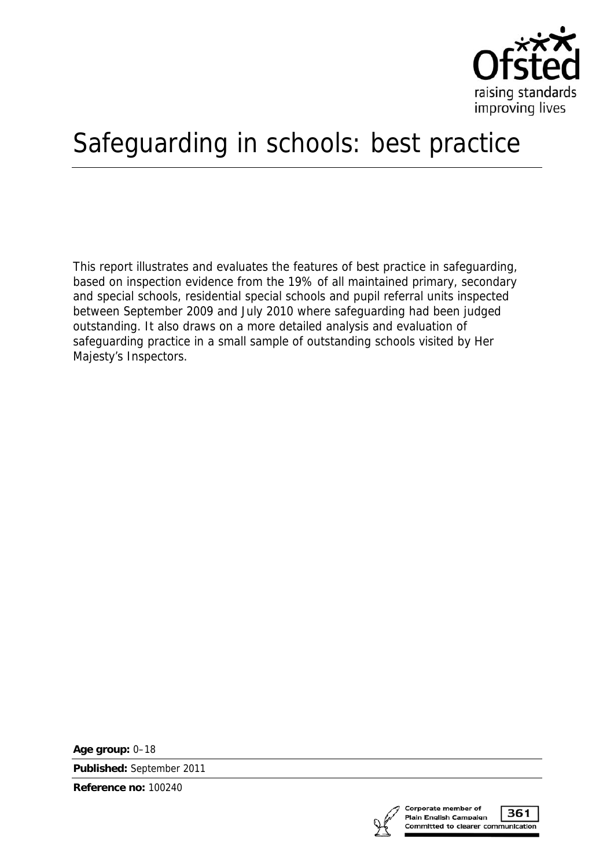

# Safeguarding in schools: best practice

This report illustrates and evaluates the features of best practice in safeguarding, based on inspection evidence from the 19% of all maintained primary, secondary and special schools, residential special schools and pupil referral units inspected between September 2009 and July 2010 where safeguarding had been judged outstanding. It also draws on a more detailed analysis and evaluation of safeguarding practice in a small sample of outstanding schools visited by Her Majesty's Inspectors.

**Age group:** 0–18

**Published:** September 2011

**Reference no:** 100240



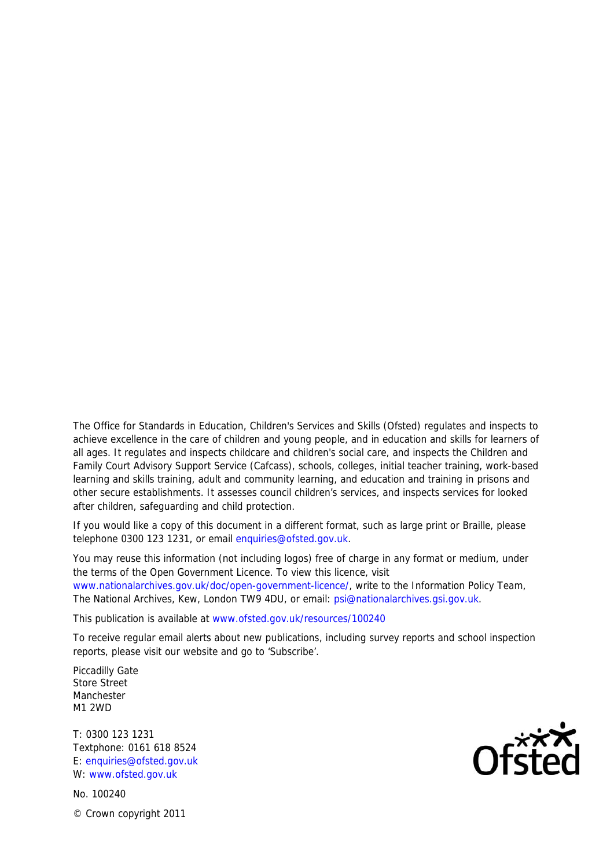The Office for Standards in Education, Children's Services and Skills (Ofsted) regulates and inspects to achieve excellence in the care of children and young people, and in education and skills for learners of all ages. It regulates and inspects childcare and children's social care, and inspects the Children and Family Court Advisory Support Service (Cafcass), schools, colleges, initial teacher training, work-based learning and skills training, adult and community learning, and education and training in prisons and other secure establishments. It assesses council children's services, and inspects services for looked after children, safeguarding and child protection.

If you would like a copy of this document in a different format, such as large print or Braille, please telephone 0300 123 1231, or email enquiries@ofsted.gov.uk.

You may reuse this information (not including logos) free of charge in any format or medium, under the terms of the Open Government Licence. To view this licence, visit www.nationalarchives.gov.uk/doc/open-government-licence/, write to the Information Policy Team, The National Archives, Kew, London TW9 4DU, or email: psi@nationalarchives.gsi.gov.uk.

This publication is available at www.ofsted.gov.uk/resources/100240

To receive regular email alerts about new publications, including survey reports and school inspection reports, please visit our website and go to 'Subscribe'.

Piccadilly Gate Store Street Manchester M1 2WD

T: 0300 123 1231 Textphone: 0161 618 8524 E: enquiries@ofsted.gov.uk W: www.ofsted.gov.uk

No. 100240 © Crown copyright 2011

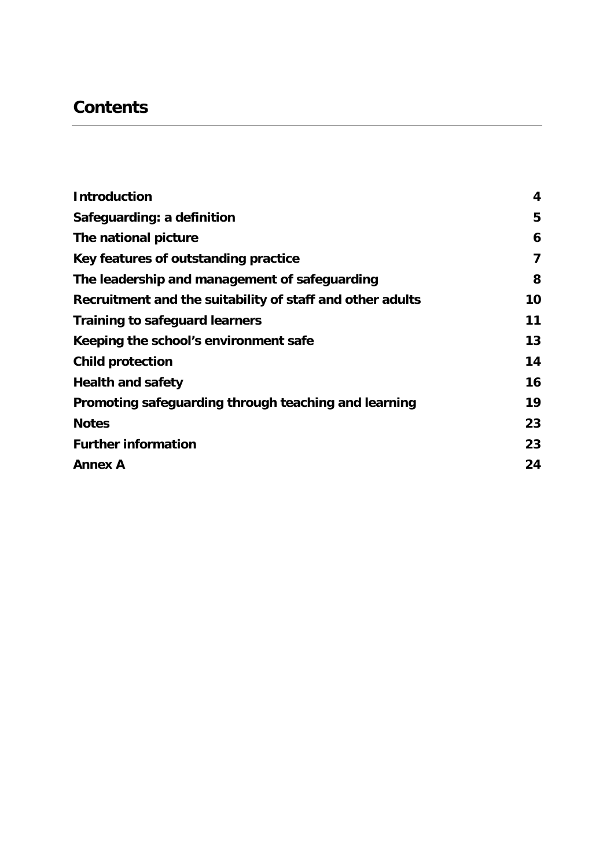# **Contents**

| <b>Introduction</b>                                       | 4  |
|-----------------------------------------------------------|----|
| Safeguarding: a definition                                | 5  |
| The national picture                                      | 6  |
| Key features of outstanding practice                      | 7  |
| The leadership and management of safeguarding             | 8  |
| Recruitment and the suitability of staff and other adults | 10 |
| <b>Training to safeguard learners</b>                     | 11 |
| Keeping the school's environment safe                     | 13 |
| <b>Child protection</b>                                   | 14 |
| <b>Health and safety</b>                                  | 16 |
| Promoting safeguarding through teaching and learning      | 19 |
| <b>Notes</b>                                              | 23 |
| <b>Further information</b>                                | 23 |
| <b>Annex A</b>                                            | 24 |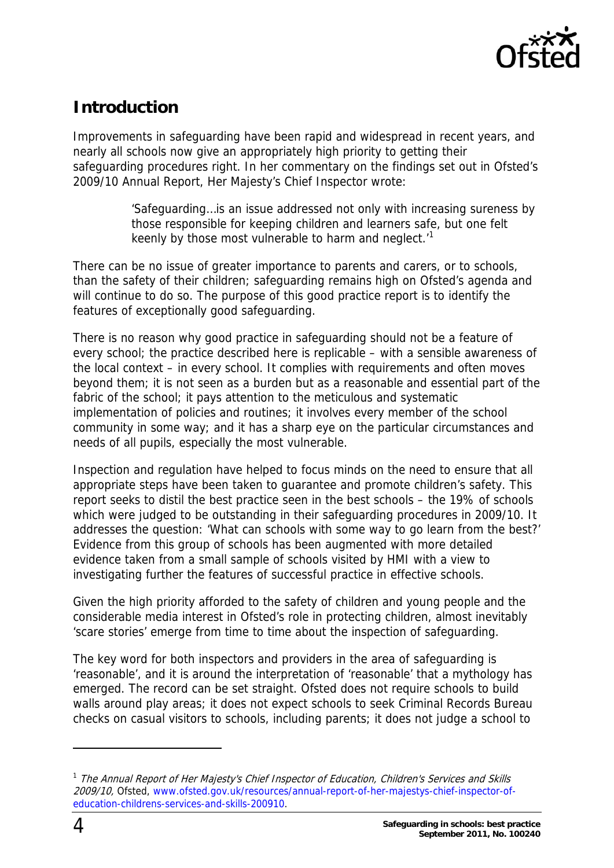

# <span id="page-3-0"></span>**Introduction**

Improvements in safeguarding have been rapid and widespread in recent years, and nearly all schools now give an appropriately high priority to getting their safeguarding procedures right. In her commentary on the findings set out in Ofsted's 2009/10 Annual Report, Her Majesty's Chief Inspector wrote:

> 'Safeguarding…is an issue addressed not only with increasing sureness by those responsible for keeping children and learners safe, but one felt keenly by those most vulnerable to harm and neglect. $1$

There can be no issue of greater importance to parents and carers, or to schools, than the safety of their children; safeguarding remains high on Ofsted's agenda and will continue to do so. The purpose of this good practice report is to identify the features of exceptionally good safeguarding.

There is no reason why good practice in safeguarding should not be a feature of every school; the practice described here is replicable – with a sensible awareness of the local context – in every school. It complies with requirements and often moves beyond them; it is not seen as a burden but as a reasonable and essential part of the fabric of the school; it pays attention to the meticulous and systematic implementation of policies and routines; it involves every member of the school community in some way; and it has a sharp eye on the particular circumstances and needs of all pupils, especially the most vulnerable.

Inspection and regulation have helped to focus minds on the need to ensure that all appropriate steps have been taken to guarantee and promote children's safety. This report seeks to distil the best practice seen in the best schools – the 19% of schools which were judged to be outstanding in their safeguarding procedures in 2009/10. It addresses the question: 'What can schools with some way to go learn from the best?' Evidence from this group of schools has been augmented with more detailed evidence taken from a small sample of schools visited by HMI with a view to investigating further the features of successful practice in effective schools.

Given the high priority afforded to the safety of children and young people and the considerable media interest in Ofsted's role in protecting children, almost inevitably 'scare stories' emerge from time to time about the inspection of safeguarding.

The key word for both inspectors and providers in the area of safeguarding is 'reasonable', and it is around the interpretation of 'reasonable' that a mythology has emerged. The record can be set straight. Ofsted does not require schools to build walls around play areas; it does not expect schools to seek Criminal Records Bureau checks on casual visitors to schools, including parents; it does not judge a school to

<span id="page-3-1"></span><sup>&</sup>lt;sup>1</sup> The Annual Report of Her Majesty's Chief Inspector of Education, Children's Services and Skills 2009/10, Ofsted, [www.ofsted.gov.uk/resources/annual-report-of-her-majestys-chief-inspector-of](http://www.ofsted.gov.uk/resources/annual-report-of-her-majestys-chief-inspector-of-education-childrens-services-and-skills-200910)[education-childrens-services-and-skills-200910.](http://www.ofsted.gov.uk/resources/annual-report-of-her-majestys-chief-inspector-of-education-childrens-services-and-skills-200910)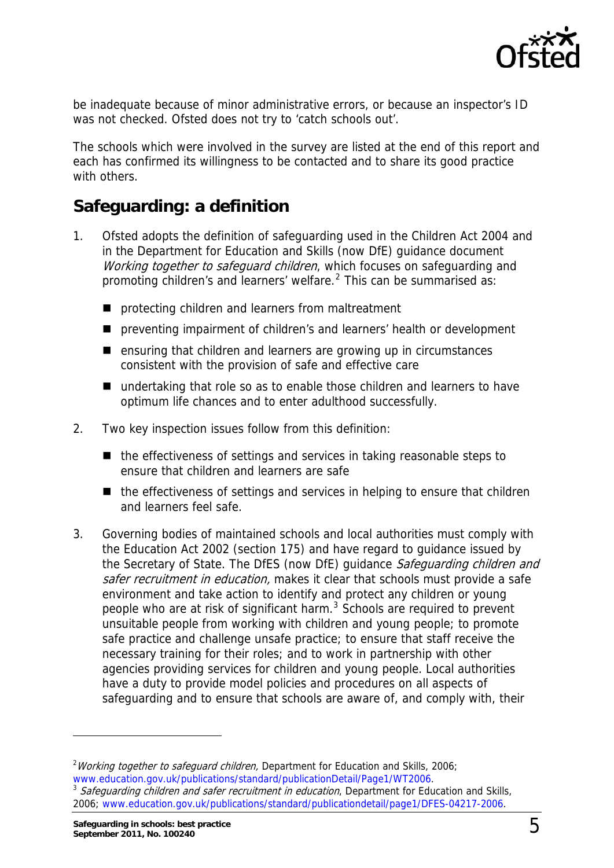

be inadequate because of minor administrative errors, or because an inspector's ID was not checked. Ofsted does not try to 'catch schools out'.

The schools which were involved in the survey are listed at the end of this report and each has confirmed its willingness to be contacted and to share its good practice with others.

#### <span id="page-4-0"></span>**Safeguarding: a definition**

- 1. Ofsted adopts the definition of safeguarding used in the Children Act 2004 and in the Department for Education and Skills (now DfE) guidance document Working together to safeguard children, which focuses on safeguarding and promoting children's and learners' welfare. $^2$  $^2$  This can be summarised as:
	- **P** protecting children and learners from maltreatment
	- **P** preventing impairment of children's and learners' health or development
	- ensuring that children and learners are growing up in circumstances consistent with the provision of safe and effective care
	- undertaking that role so as to enable those children and learners to have optimum life chances and to enter adulthood successfully.
- 2. Two key inspection issues follow from this definition:
	- $\blacksquare$  the effectiveness of settings and services in taking reasonable steps to ensure that children and learners are safe
	- $\blacksquare$  the effectiveness of settings and services in helping to ensure that children and learners feel safe.
- 3. Governing bodies of maintained schools and local authorities must comply with the Education Act 2002 (section 175) and have regard to guidance issued by the Secretary of State. The DfES (now DfE) guidance Safeguarding children and safer recruitment in education, makes it clear that schools must provide a safe environment and take action to identify and protect any children or young people who are at risk of significant harm.<sup>[3](#page-4-2)</sup> Schools are required to prevent unsuitable people from working with children and young people; to promote safe practice and challenge unsafe practice; to ensure that staff receive the necessary training for their roles; and to work in partnership with other agencies providing services for children and young people. Local authorities have a duty to provide model policies and procedures on all aspects of safeguarding and to ensure that schools are aware of, and comply with, their

<span id="page-4-1"></span><sup>&</sup>lt;sup>2</sup> Working together to safeguard children, Department for Education and Skills, 2006;

<span id="page-4-2"></span>[www.education.gov.uk/publications/standard/publicationDetail/Page1/WT2006](https://www.education.gov.uk/publications/standard/publicationDetail/Page1/WT2006).<br><sup>3</sup> Safeguarding children and safer recruitment in education, Department for Education and Skills, 2006; [www.education.gov.uk/publications/standard/publicationdetail/page1/DFES-04217-2006](http://www.education.gov.uk/publications/standard/publicationdetail/page1/DFES-04217-2006).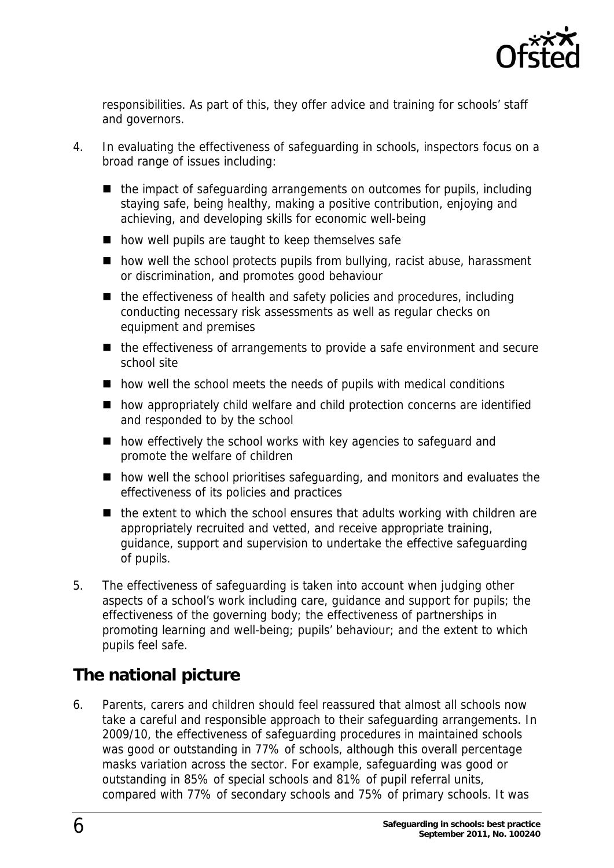

responsibilities. As part of this, they offer advice and training for schools' staff and governors.

- 4. In evaluating the effectiveness of safeguarding in schools, inspectors focus on a broad range of issues including:
	- $\blacksquare$  the impact of safeguarding arrangements on outcomes for pupils, including staying safe, being healthy, making a positive contribution, enjoying and achieving, and developing skills for economic well-being
	- how well pupils are taught to keep themselves safe
	- how well the school protects pupils from bullying, racist abuse, harassment or discrimination, and promotes good behaviour
	- $\blacksquare$  the effectiveness of health and safety policies and procedures, including conducting necessary risk assessments as well as regular checks on equipment and premises
	- the effectiveness of arrangements to provide a safe environment and secure school site
	- how well the school meets the needs of pupils with medical conditions
	- how appropriately child welfare and child protection concerns are identified and responded to by the school
	- how effectively the school works with key agencies to safeguard and promote the welfare of children
	- how well the school prioritises safeguarding, and monitors and evaluates the effectiveness of its policies and practices
	- $\blacksquare$  the extent to which the school ensures that adults working with children are appropriately recruited and vetted, and receive appropriate training, guidance, support and supervision to undertake the effective safeguarding of pupils.
- 5. The effectiveness of safeguarding is taken into account when judging other aspects of a school's work including care, guidance and support for pupils; the effectiveness of the governing body; the effectiveness of partnerships in promoting learning and well-being; pupils' behaviour; and the extent to which pupils feel safe.

## <span id="page-5-0"></span>**The national picture**

6. Parents, carers and children should feel reassured that almost all schools now take a careful and responsible approach to their safeguarding arrangements. In 2009/10, the effectiveness of safeguarding procedures in maintained schools was good or outstanding in 77% of schools, although this overall percentage masks variation across the sector. For example, safeguarding was good or outstanding in 85% of special schools and 81% of pupil referral units, compared with 77% of secondary schools and 75% of primary schools. It was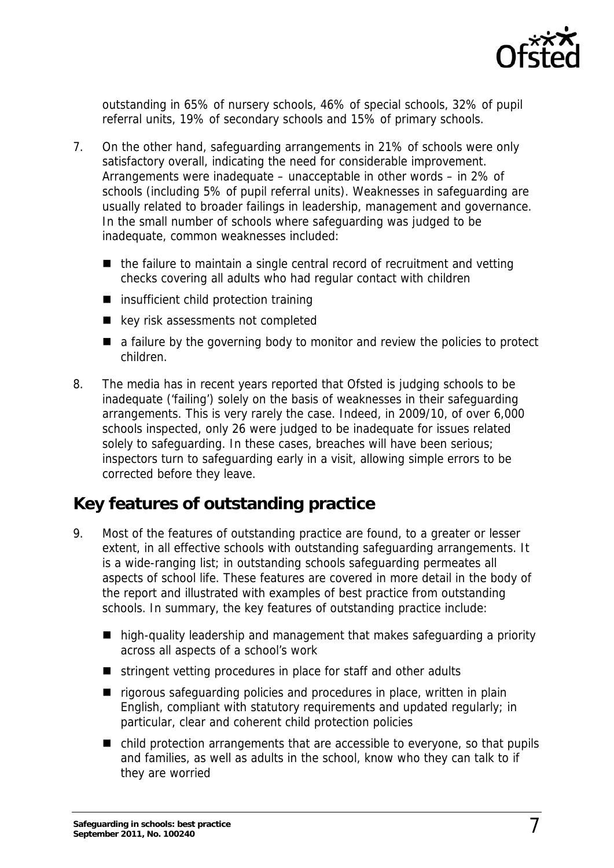

outstanding in 65% of nursery schools, 46% of special schools, 32% of pupil referral units, 19% of secondary schools and 15% of primary schools.

- 7. On the other hand, safeguarding arrangements in 21% of schools were only satisfactory overall, indicating the need for considerable improvement. Arrangements were inadequate – unacceptable in other words – in 2% of schools (including 5% of pupil referral units). Weaknesses in safeguarding are usually related to broader failings in leadership, management and governance. In the small number of schools where safeguarding was judged to be inadequate, common weaknesses included:
	- $\blacksquare$  the failure to maintain a single central record of recruitment and vetting checks covering all adults who had regular contact with children
	- insufficient child protection training
	- $\blacksquare$  key risk assessments not completed
	- a failure by the governing body to monitor and review the policies to protect children.
- 8. The media has in recent years reported that Ofsted is judging schools to be inadequate ('failing') solely on the basis of weaknesses in their safeguarding arrangements. This is very rarely the case. Indeed, in 2009/10, of over 6,000 schools inspected, only 26 were judged to be inadequate for issues related solely to safeguarding. In these cases, breaches will have been serious; inspectors turn to safeguarding early in a visit, allowing simple errors to be corrected before they leave.

## <span id="page-6-0"></span>**Key features of outstanding practice**

- 9. Most of the features of outstanding practice are found, to a greater or lesser extent, in all effective schools with outstanding safeguarding arrangements. It is a wide-ranging list; in outstanding schools safeguarding permeates all aspects of school life. These features are covered in more detail in the body of the report and illustrated with examples of best practice from outstanding schools. In summary, the key features of outstanding practice include:
	- high-quality leadership and management that makes safeguarding a priority across all aspects of a school's work
	- stringent vetting procedures in place for staff and other adults
	- rigorous safeguarding policies and procedures in place, written in plain English, compliant with statutory requirements and updated regularly; in particular, clear and coherent child protection policies
	- child protection arrangements that are accessible to everyone, so that pupils and families, as well as adults in the school, know who they can talk to if they are worried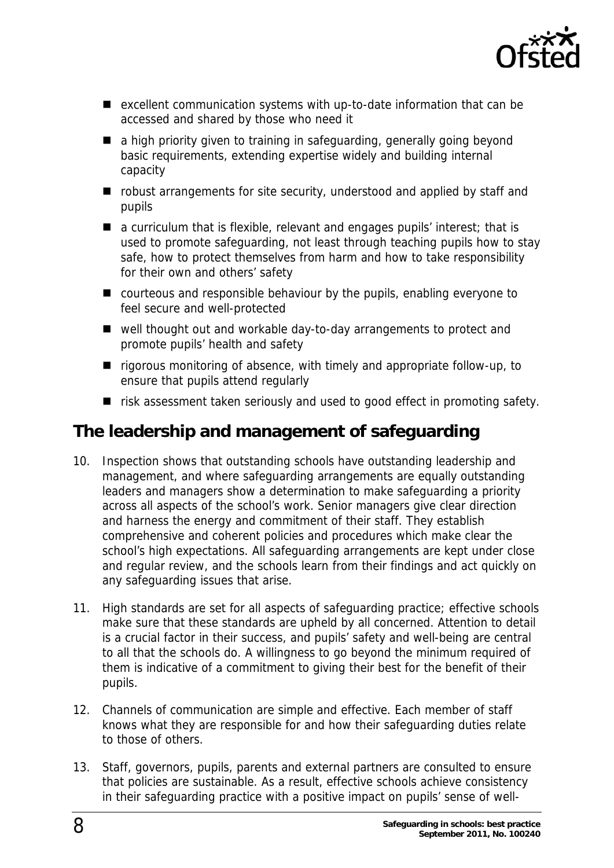

- excellent communication systems with up-to-date information that can be accessed and shared by those who need it
- a high priority given to training in safeguarding, generally going beyond basic requirements, extending expertise widely and building internal capacity
- robust arrangements for site security, understood and applied by staff and pupils
- $\blacksquare$  a curriculum that is flexible, relevant and engages pupils' interest; that is used to promote safeguarding, not least through teaching pupils how to stay safe, how to protect themselves from harm and how to take responsibility for their own and others' safety
- courteous and responsible behaviour by the pupils, enabling everyone to feel secure and well-protected
- well thought out and workable day-to-day arrangements to protect and promote pupils' health and safety
- rigorous monitoring of absence, with timely and appropriate follow-up, to ensure that pupils attend regularly
- risk assessment taken seriously and used to good effect in promoting safety.

## <span id="page-7-0"></span>**The leadership and management of safeguarding**

- 10. Inspection shows that outstanding schools have outstanding leadership and management, and where safeguarding arrangements are equally outstanding leaders and managers show a determination to make safeguarding a priority across all aspects of the school's work. Senior managers give clear direction and harness the energy and commitment of their staff. They establish comprehensive and coherent policies and procedures which make clear the school's high expectations. All safeguarding arrangements are kept under close and regular review, and the schools learn from their findings and act quickly on any safeguarding issues that arise.
- 11. High standards are set for all aspects of safeguarding practice; effective schools make sure that these standards are upheld by all concerned. Attention to detail is a crucial factor in their success, and pupils' safety and well-being are central to all that the schools do. A willingness to go beyond the minimum required of them is indicative of a commitment to giving their best for the benefit of their pupils.
- 12. Channels of communication are simple and effective. Each member of staff knows what they are responsible for and how their safeguarding duties relate to those of others.
- 13. Staff, governors, pupils, parents and external partners are consulted to ensure that policies are sustainable. As a result, effective schools achieve consistency in their safeguarding practice with a positive impact on pupils' sense of well-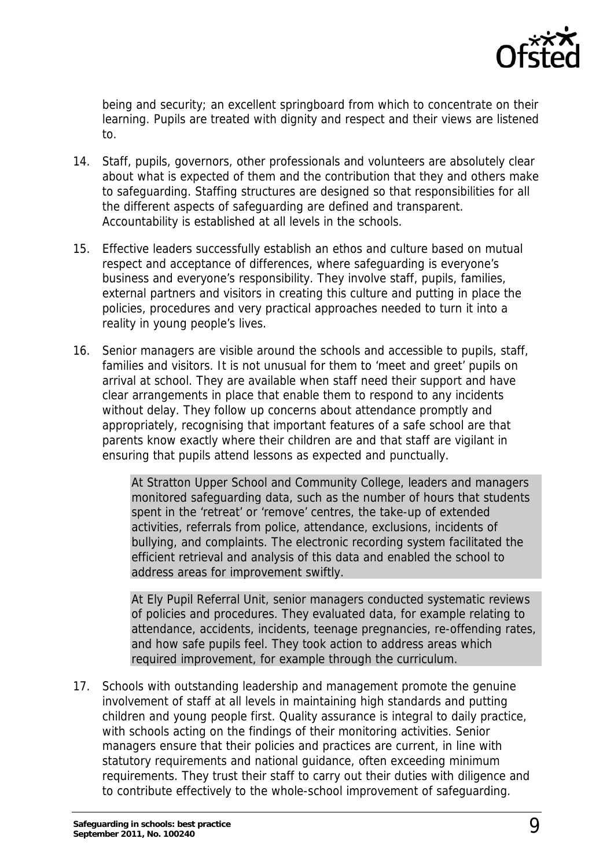

being and security; an excellent springboard from which to concentrate on their learning. Pupils are treated with dignity and respect and their views are listened to.

- 14. Staff, pupils, governors, other professionals and volunteers are absolutely clear about what is expected of them and the contribution that they and others make to safeguarding. Staffing structures are designed so that responsibilities for all the different aspects of safeguarding are defined and transparent. Accountability is established at all levels in the schools.
- 15. Effective leaders successfully establish an ethos and culture based on mutual respect and acceptance of differences, where safeguarding is everyone's business and everyone's responsibility. They involve staff, pupils, families, external partners and visitors in creating this culture and putting in place the policies, procedures and very practical approaches needed to turn it into a reality in young people's lives.
- 16. Senior managers are visible around the schools and accessible to pupils, staff, families and visitors. It is not unusual for them to 'meet and greet' pupils on arrival at school. They are available when staff need their support and have clear arrangements in place that enable them to respond to any incidents without delay. They follow up concerns about attendance promptly and appropriately, recognising that important features of a safe school are that parents know exactly where their children are and that staff are vigilant in ensuring that pupils attend lessons as expected and punctually.

At Stratton Upper School and Community College, leaders and managers monitored safeguarding data, such as the number of hours that students spent in the 'retreat' or 'remove' centres, the take-up of extended activities, referrals from police, attendance, exclusions, incidents of bullying, and complaints. The electronic recording system facilitated the efficient retrieval and analysis of this data and enabled the school to address areas for improvement swiftly.

At Ely Pupil Referral Unit, senior managers conducted systematic reviews of policies and procedures. They evaluated data, for example relating to attendance, accidents, incidents, teenage pregnancies, re-offending rates, and how safe pupils feel. They took action to address areas which required improvement, for example through the curriculum.

17. Schools with outstanding leadership and management promote the genuine involvement of staff at all levels in maintaining high standards and putting children and young people first. Quality assurance is integral to daily practice, with schools acting on the findings of their monitoring activities. Senior managers ensure that their policies and practices are current, in line with statutory requirements and national guidance, often exceeding minimum requirements. They trust their staff to carry out their duties with diligence and to contribute effectively to the whole-school improvement of safeguarding.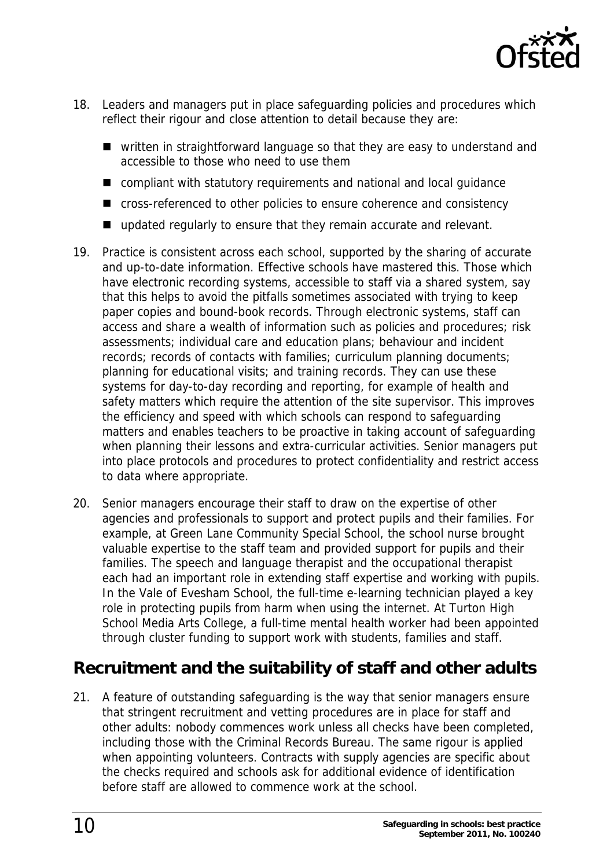

- 18. Leaders and managers put in place safeguarding policies and procedures which reflect their rigour and close attention to detail because they are:
	- written in straightforward language so that they are easy to understand and accessible to those who need to use them
	- compliant with statutory requirements and national and local guidance
	- cross-referenced to other policies to ensure coherence and consistency
	- updated regularly to ensure that they remain accurate and relevant.
- 19. Practice is consistent across each school, supported by the sharing of accurate and up-to-date information. Effective schools have mastered this. Those which have electronic recording systems, accessible to staff via a shared system, say that this helps to avoid the pitfalls sometimes associated with trying to keep paper copies and bound-book records. Through electronic systems, staff can access and share a wealth of information such as policies and procedures; risk assessments; individual care and education plans; behaviour and incident records; records of contacts with families; curriculum planning documents; planning for educational visits; and training records. They can use these systems for day-to-day recording and reporting, for example of health and safety matters which require the attention of the site supervisor. This improves the efficiency and speed with which schools can respond to safeguarding matters and enables teachers to be proactive in taking account of safeguarding when planning their lessons and extra-curricular activities. Senior managers put into place protocols and procedures to protect confidentiality and restrict access to data where appropriate.
- 20. Senior managers encourage their staff to draw on the expertise of other agencies and professionals to support and protect pupils and their families. For example, at Green Lane Community Special School, the school nurse brought valuable expertise to the staff team and provided support for pupils and their families. The speech and language therapist and the occupational therapist each had an important role in extending staff expertise and working with pupils. In the Vale of Evesham School, the full-time e-learning technician played a key role in protecting pupils from harm when using the internet. At Turton High School Media Arts College, a full-time mental health worker had been appointed through cluster funding to support work with students, families and staff.

## <span id="page-9-0"></span>**Recruitment and the suitability of staff and other adults**

21. A feature of outstanding safeguarding is the way that senior managers ensure that stringent recruitment and vetting procedures are in place for staff and other adults: nobody commences work unless all checks have been completed, including those with the Criminal Records Bureau. The same rigour is applied when appointing volunteers. Contracts with supply agencies are specific about the checks required and schools ask for additional evidence of identification before staff are allowed to commence work at the school.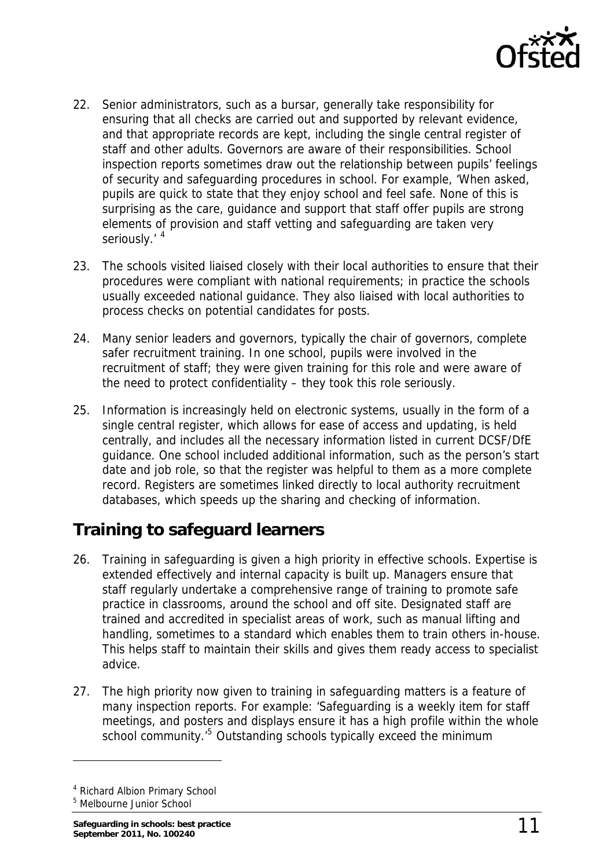

- 22. Senior administrators, such as a bursar, generally take responsibility for ensuring that all checks are carried out and supported by relevant evidence, and that appropriate records are kept, including the single central register of staff and other adults. Governors are aware of their responsibilities. School inspection reports sometimes draw out the relationship between pupils' feelings of security and safeguarding procedures in school. For example, 'When asked, pupils are quick to state that they enjoy school and feel safe. None of this is surprising as the care, guidance and support that staff offer pupils are strong elements of provision and staff vetting and safeguarding are taken very seriously.' [4](#page-10-1)
- 23. The schools visited liaised closely with their local authorities to ensure that their procedures were compliant with national requirements; in practice the schools usually exceeded national guidance. They also liaised with local authorities to process checks on potential candidates for posts.
- 24. Many senior leaders and governors, typically the chair of governors, complete safer recruitment training. In one school, pupils were involved in the recruitment of staff; they were given training for this role and were aware of the need to protect confidentiality – they took this role seriously.
- 25. Information is increasingly held on electronic systems, usually in the form of a single central register, which allows for ease of access and updating, is held centrally, and includes all the necessary information listed in current DCSF/DfE guidance. One school included additional information, such as the person's start date and job role, so that the register was helpful to them as a more complete record. Registers are sometimes linked directly to local authority recruitment databases, which speeds up the sharing and checking of information.

# <span id="page-10-0"></span>**Training to safeguard learners**

- 26. Training in safeguarding is given a high priority in effective schools. Expertise is extended effectively and internal capacity is built up. Managers ensure that staff regularly undertake a comprehensive range of training to promote safe practice in classrooms, around the school and off site. Designated staff are trained and accredited in specialist areas of work, such as manual lifting and handling, sometimes to a standard which enables them to train others in-house. This helps staff to maintain their skills and gives them ready access to specialist advice.
- 27. The high priority now given to training in safeguarding matters is a feature of many inspection reports. For example: 'Safeguarding is a weekly item for staff meetings, and posters and displays ensure it has a high profile within the whole school community.<sup>[5](#page-10-2)</sup> Outstanding schools typically exceed the minimum

<span id="page-10-1"></span><sup>4</sup> Richard Albion Primary School

<span id="page-10-2"></span><sup>5</sup> Melbourne Junior School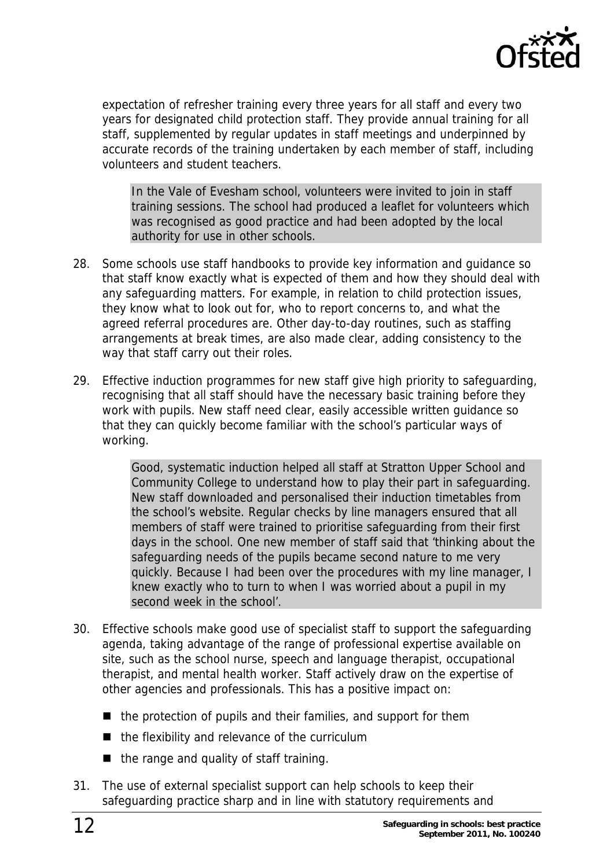

expectation of refresher training every three years for all staff and every two years for designated child protection staff. They provide annual training for all staff, supplemented by regular updates in staff meetings and underpinned by accurate records of the training undertaken by each member of staff, including volunteers and student teachers.

In the Vale of Evesham school, volunteers were invited to join in staff training sessions. The school had produced a leaflet for volunteers which was recognised as good practice and had been adopted by the local authority for use in other schools.

- 28. Some schools use staff handbooks to provide key information and guidance so that staff know exactly what is expected of them and how they should deal with any safeguarding matters. For example, in relation to child protection issues, they know what to look out for, who to report concerns to, and what the agreed referral procedures are. Other day-to-day routines, such as staffing arrangements at break times, are also made clear, adding consistency to the way that staff carry out their roles.
- 29. Effective induction programmes for new staff give high priority to safeguarding, recognising that all staff should have the necessary basic training before they work with pupils. New staff need clear, easily accessible written guidance so that they can quickly become familiar with the school's particular ways of working.

Good, systematic induction helped all staff at Stratton Upper School and Community College to understand how to play their part in safeguarding. New staff downloaded and personalised their induction timetables from the school's website. Regular checks by line managers ensured that all members of staff were trained to prioritise safeguarding from their first days in the school. One new member of staff said that 'thinking about the safeguarding needs of the pupils became second nature to me very quickly. Because I had been over the procedures with my line manager, I knew exactly who to turn to when I was worried about a pupil in my second week in the school'.

- 30. Effective schools make good use of specialist staff to support the safeguarding agenda, taking advantage of the range of professional expertise available on site, such as the school nurse, speech and language therapist, occupational therapist, and mental health worker. Staff actively draw on the expertise of other agencies and professionals. This has a positive impact on:
	- $\blacksquare$  the protection of pupils and their families, and support for them
	- $\blacksquare$  the flexibility and relevance of the curriculum
	- $\blacksquare$  the range and quality of staff training.
- 31. The use of external specialist support can help schools to keep their safeguarding practice sharp and in line with statutory requirements and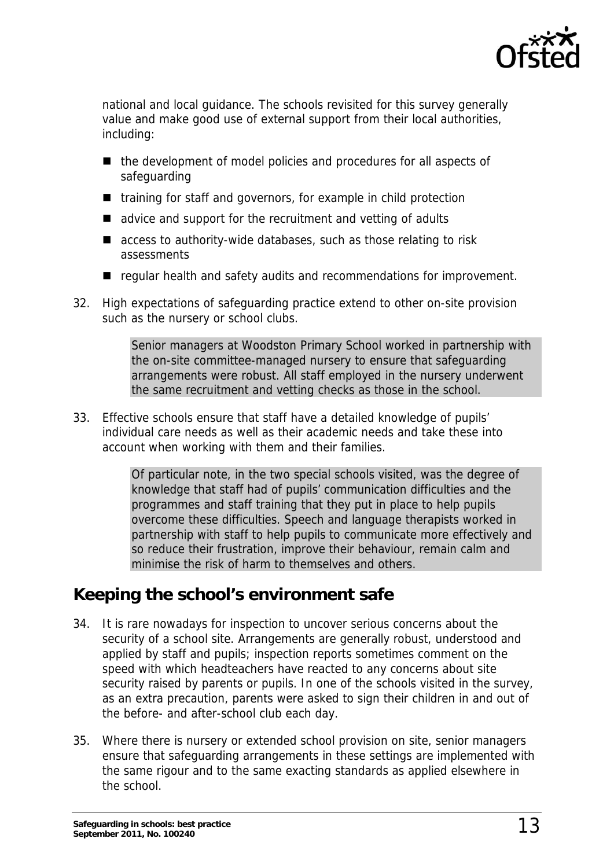

national and local guidance. The schools revisited for this survey generally value and make good use of external support from their local authorities, including:

- the development of model policies and procedures for all aspects of safeguarding
- training for staff and governors, for example in child protection
- advice and support for the recruitment and vetting of adults
- access to authority-wide databases, such as those relating to risk assessments
- $\blacksquare$  regular health and safety audits and recommendations for improvement.
- 32. High expectations of safeguarding practice extend to other on-site provision such as the nursery or school clubs.

Senior managers at Woodston Primary School worked in partnership with the on-site committee-managed nursery to ensure that safeguarding arrangements were robust. All staff employed in the nursery underwent the same recruitment and vetting checks as those in the school.

33. Effective schools ensure that staff have a detailed knowledge of pupils' individual care needs as well as their academic needs and take these into account when working with them and their families.

> Of particular note, in the two special schools visited, was the degree of knowledge that staff had of pupils' communication difficulties and the programmes and staff training that they put in place to help pupils overcome these difficulties. Speech and language therapists worked in partnership with staff to help pupils to communicate more effectively and so reduce their frustration, improve their behaviour, remain calm and minimise the risk of harm to themselves and others.

#### <span id="page-12-0"></span>**Keeping the school's environment safe**

- 34. It is rare nowadays for inspection to uncover serious concerns about the security of a school site. Arrangements are generally robust, understood and applied by staff and pupils; inspection reports sometimes comment on the speed with which headteachers have reacted to any concerns about site security raised by parents or pupils. In one of the schools visited in the survey, as an extra precaution, parents were asked to sign their children in and out of the before- and after-school club each day.
- 35. Where there is nursery or extended school provision on site, senior managers ensure that safeguarding arrangements in these settings are implemented with the same rigour and to the same exacting standards as applied elsewhere in the school.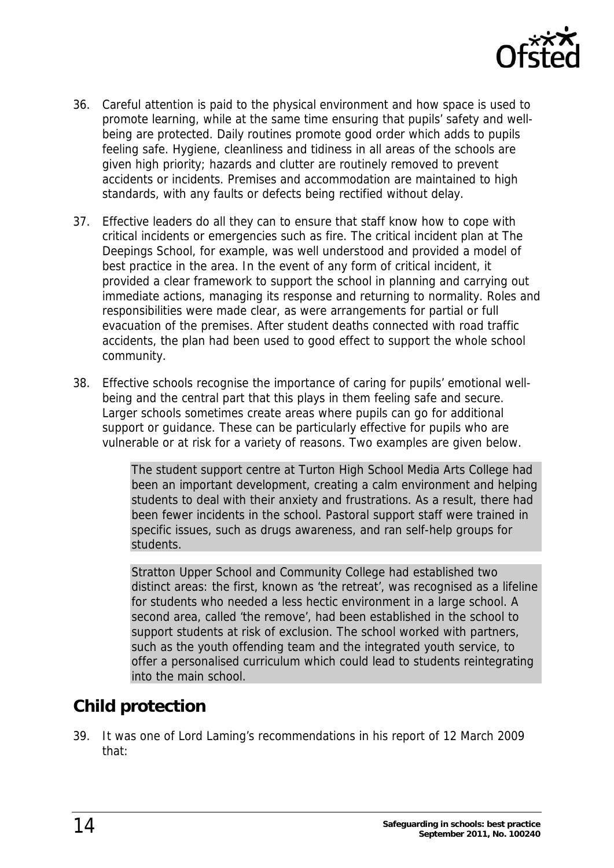

- 36. Careful attention is paid to the physical environment and how space is used to promote learning, while at the same time ensuring that pupils' safety and wellbeing are protected. Daily routines promote good order which adds to pupils feeling safe. Hygiene, cleanliness and tidiness in all areas of the schools are given high priority; hazards and clutter are routinely removed to prevent accidents or incidents. Premises and accommodation are maintained to high standards, with any faults or defects being rectified without delay.
- 37. Effective leaders do all they can to ensure that staff know how to cope with critical incidents or emergencies such as fire. The critical incident plan at The Deepings School, for example, was well understood and provided a model of best practice in the area. In the event of any form of critical incident, it provided a clear framework to support the school in planning and carrying out immediate actions, managing its response and returning to normality. Roles and responsibilities were made clear, as were arrangements for partial or full evacuation of the premises. After student deaths connected with road traffic accidents, the plan had been used to good effect to support the whole school community.
- 38. Effective schools recognise the importance of caring for pupils' emotional wellbeing and the central part that this plays in them feeling safe and secure. Larger schools sometimes create areas where pupils can go for additional support or guidance. These can be particularly effective for pupils who are vulnerable or at risk for a variety of reasons. Two examples are given below.

The student support centre at Turton High School Media Arts College had been an important development, creating a calm environment and helping students to deal with their anxiety and frustrations. As a result, there had been fewer incidents in the school. Pastoral support staff were trained in specific issues, such as drugs awareness, and ran self-help groups for students.

Stratton Upper School and Community College had established two distinct areas: the first, known as 'the retreat', was recognised as a lifeline for students who needed a less hectic environment in a large school. A second area, called 'the remove', had been established in the school to support students at risk of exclusion. The school worked with partners, such as the youth offending team and the integrated youth service, to offer a personalised curriculum which could lead to students reintegrating into the main school.

#### <span id="page-13-0"></span>**Child protection**

39. It was one of Lord Laming's recommendations in his report of 12 March 2009 that: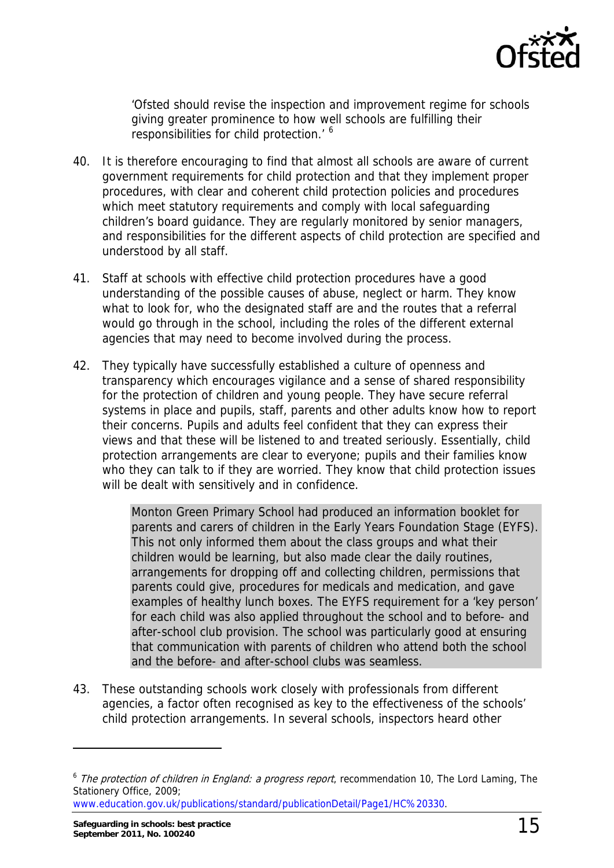

'Ofsted should revise the inspection and improvement regime for schools giving greater prominence to how well schools are fulfilling their responsibilities for child protection.' [6](#page-14-0)

- 40. It is therefore encouraging to find that almost all schools are aware of current government requirements for child protection and that they implement proper procedures, with clear and coherent child protection policies and procedures which meet statutory requirements and comply with local safeguarding children's board guidance. They are regularly monitored by senior managers, and responsibilities for the different aspects of child protection are specified and understood by all staff.
- 41. Staff at schools with effective child protection procedures have a good understanding of the possible causes of abuse, neglect or harm. They know what to look for, who the designated staff are and the routes that a referral would go through in the school, including the roles of the different external agencies that may need to become involved during the process.
- 42. They typically have successfully established a culture of openness and transparency which encourages vigilance and a sense of shared responsibility for the protection of children and young people. They have secure referral systems in place and pupils, staff, parents and other adults know how to report their concerns. Pupils and adults feel confident that they can express their views and that these will be listened to and treated seriously. Essentially, child protection arrangements are clear to everyone; pupils and their families know who they can talk to if they are worried. They know that child protection issues will be dealt with sensitively and in confidence.

Monton Green Primary School had produced an information booklet for parents and carers of children in the Early Years Foundation Stage (EYFS). This not only informed them about the class groups and what their children would be learning, but also made clear the daily routines, arrangements for dropping off and collecting children, permissions that parents could give, procedures for medicals and medication, and gave examples of healthy lunch boxes. The EYFS requirement for a 'key person' for each child was also applied throughout the school and to before- and after-school club provision. The school was particularly good at ensuring that communication with parents of children who attend both the school and the before- and after-school clubs was seamless.

43. These outstanding schools work closely with professionals from different agencies, a factor often recognised as key to the effectiveness of the schools' child protection arrangements. In several schools, inspectors heard other

<span id="page-14-0"></span> $6$  The protection of children in England: a progress report, recommendation 10. The Lord Laming, The Stationery Office, 2009; [www.education.gov.uk/publications/standard/publicationDetail/Page1/HC%20330](https://www.education.gov.uk/publications/standard/publicationDetail/Page1/HC%20330).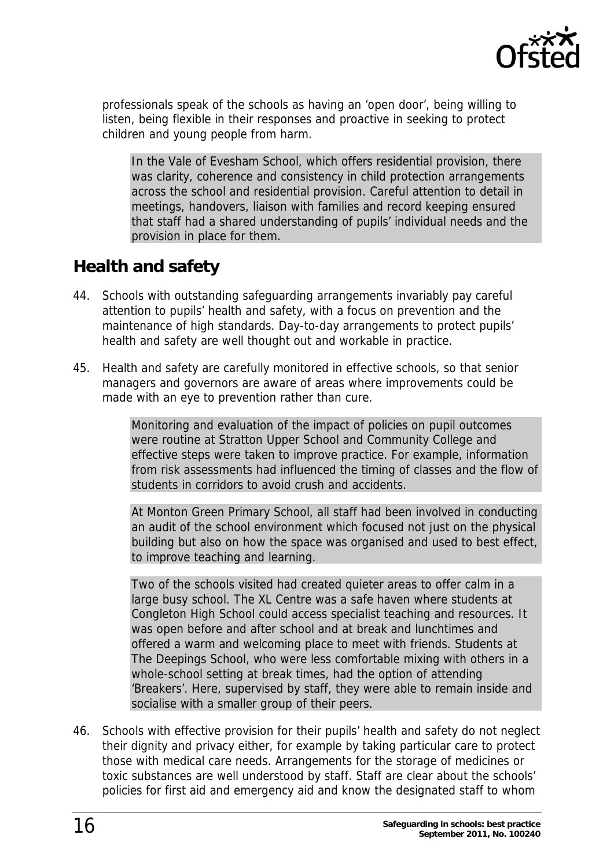

professionals speak of the schools as having an 'open door', being willing to listen, being flexible in their responses and proactive in seeking to protect children and young people from harm.

In the Vale of Evesham School, which offers residential provision, there was clarity, coherence and consistency in child protection arrangements across the school and residential provision. Careful attention to detail in meetings, handovers, liaison with families and record keeping ensured that staff had a shared understanding of pupils' individual needs and the provision in place for them.

## <span id="page-15-0"></span>**Health and safety**

- 44. Schools with outstanding safeguarding arrangements invariably pay careful attention to pupils' health and safety, with a focus on prevention and the maintenance of high standards. Day-to-day arrangements to protect pupils' health and safety are well thought out and workable in practice.
- 45. Health and safety are carefully monitored in effective schools, so that senior managers and governors are aware of areas where improvements could be made with an eye to prevention rather than cure.

Monitoring and evaluation of the impact of policies on pupil outcomes were routine at Stratton Upper School and Community College and effective steps were taken to improve practice. For example, information from risk assessments had influenced the timing of classes and the flow of students in corridors to avoid crush and accidents.

At Monton Green Primary School, all staff had been involved in conducting an audit of the school environment which focused not just on the physical building but also on how the space was organised and used to best effect, to improve teaching and learning.

Two of the schools visited had created quieter areas to offer calm in a large busy school. The XL Centre was a safe haven where students at Congleton High School could access specialist teaching and resources. It was open before and after school and at break and lunchtimes and offered a warm and welcoming place to meet with friends. Students at The Deepings School, who were less comfortable mixing with others in a whole-school setting at break times, had the option of attending 'Breakers'. Here, supervised by staff, they were able to remain inside and socialise with a smaller group of their peers.

46. Schools with effective provision for their pupils' health and safety do not neglect their dignity and privacy either, for example by taking particular care to protect those with medical care needs. Arrangements for the storage of medicines or toxic substances are well understood by staff. Staff are clear about the schools' policies for first aid and emergency aid and know the designated staff to whom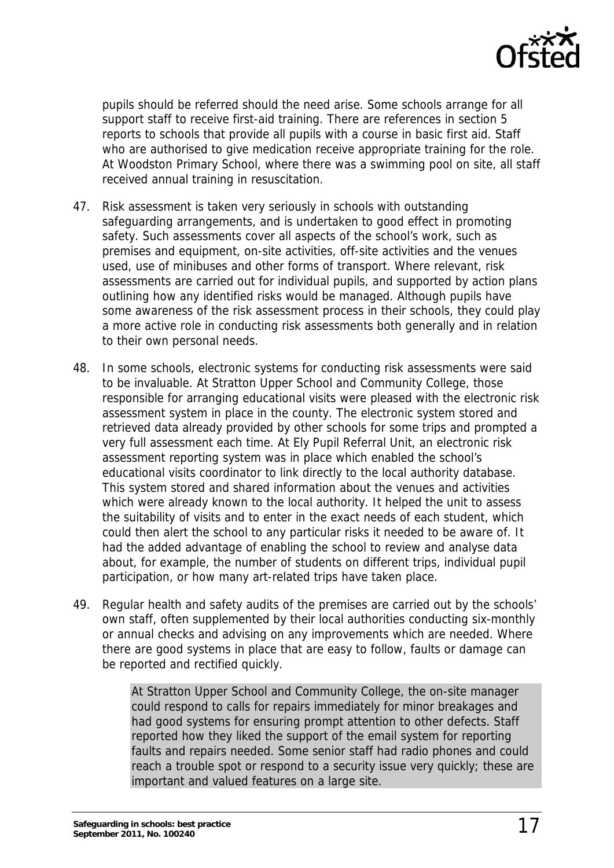

pupils should be referred should the need arise. Some schools arrange for all support staff to receive first-aid training. There are references in section 5 reports to schools that provide all pupils with a course in basic first aid. Staff who are authorised to give medication receive appropriate training for the role. At Woodston Primary School, where there was a swimming pool on site, all staff received annual training in resuscitation.

- 47. Risk assessment is taken very seriously in schools with outstanding safeguarding arrangements, and is undertaken to good effect in promoting safety. Such assessments cover all aspects of the school's work, such as premises and equipment, on-site activities, off-site activities and the venues used, use of minibuses and other forms of transport. Where relevant, risk assessments are carried out for individual pupils, and supported by action plans outlining how any identified risks would be managed. Although pupils have some awareness of the risk assessment process in their schools, they could play a more active role in conducting risk assessments both generally and in relation to their own personal needs.
- 48. In some schools, electronic systems for conducting risk assessments were said to be invaluable. At Stratton Upper School and Community College, those responsible for arranging educational visits were pleased with the electronic risk assessment system in place in the county. The electronic system stored and retrieved data already provided by other schools for some trips and prompted a very full assessment each time. At Ely Pupil Referral Unit, an electronic risk assessment reporting system was in place which enabled the school's educational visits coordinator to link directly to the local authority database. This system stored and shared information about the venues and activities which were already known to the local authority. It helped the unit to assess the suitability of visits and to enter in the exact needs of each student, which could then alert the school to any particular risks it needed to be aware of. It had the added advantage of enabling the school to review and analyse data about, for example, the number of students on different trips, individual pupil participation, or how many art-related trips have taken place.
- 49. Regular health and safety audits of the premises are carried out by the schools' own staff, often supplemented by their local authorities conducting six-monthly or annual checks and advising on any improvements which are needed. Where there are good systems in place that are easy to follow, faults or damage can be reported and rectified quickly.

At Stratton Upper School and Community College, the on-site manager could respond to calls for repairs immediately for minor breakages and had good systems for ensuring prompt attention to other defects. Staff reported how they liked the support of the email system for reporting faults and repairs needed. Some senior staff had radio phones and could reach a trouble spot or respond to a security issue very quickly; these are important and valued features on a large site.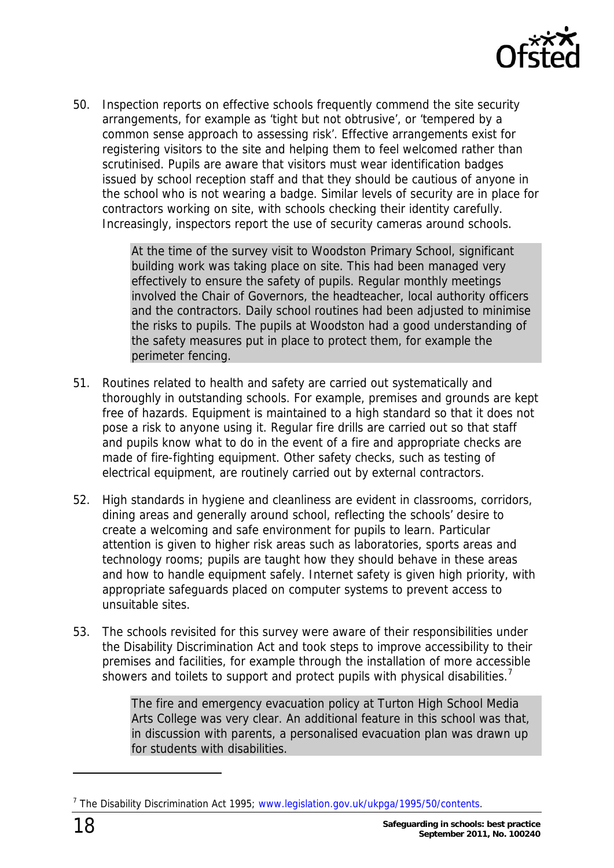

50. Inspection reports on effective schools frequently commend the site security arrangements, for example as 'tight but not obtrusive', or 'tempered by a common sense approach to assessing risk'. Effective arrangements exist for registering visitors to the site and helping them to feel welcomed rather than scrutinised. Pupils are aware that visitors must wear identification badges issued by school reception staff and that they should be cautious of anyone in the school who is not wearing a badge. Similar levels of security are in place for contractors working on site, with schools checking their identity carefully. Increasingly, inspectors report the use of security cameras around schools.

> At the time of the survey visit to Woodston Primary School, significant building work was taking place on site. This had been managed very effectively to ensure the safety of pupils. Regular monthly meetings involved the Chair of Governors, the headteacher, local authority officers and the contractors. Daily school routines had been adjusted to minimise the risks to pupils. The pupils at Woodston had a good understanding of the safety measures put in place to protect them, for example the perimeter fencing.

- 51. Routines related to health and safety are carried out systematically and thoroughly in outstanding schools. For example, premises and grounds are kept free of hazards. Equipment is maintained to a high standard so that it does not pose a risk to anyone using it. Regular fire drills are carried out so that staff and pupils know what to do in the event of a fire and appropriate checks are made of fire-fighting equipment. Other safety checks, such as testing of electrical equipment, are routinely carried out by external contractors.
- 52. High standards in hygiene and cleanliness are evident in classrooms, corridors, dining areas and generally around school, reflecting the schools' desire to create a welcoming and safe environment for pupils to learn. Particular attention is given to higher risk areas such as laboratories, sports areas and technology rooms; pupils are taught how they should behave in these areas and how to handle equipment safely. Internet safety is given high priority, with appropriate safeguards placed on computer systems to prevent access to unsuitable sites.
- 53. The schools revisited for this survey were aware of their responsibilities under the Disability Discrimination Act and took steps to improve accessibility to their premises and facilities, for example through the installation of more accessible showers and toilets to support and protect pupils with physical disabilities.<sup>[7](#page-17-0)</sup>

The fire and emergency evacuation policy at Turton High School Media Arts College was very clear. An additional feature in this school was that, in discussion with parents, a personalised evacuation plan was drawn up for students with disabilities.

<span id="page-17-0"></span><sup>&</sup>lt;sup>7</sup> The Disability Discrimination Act 1995; [www.legislation.gov.uk/ukpga/1995/50/contents](http://www.legislation.gov.uk/ukpga/1995/50/contents).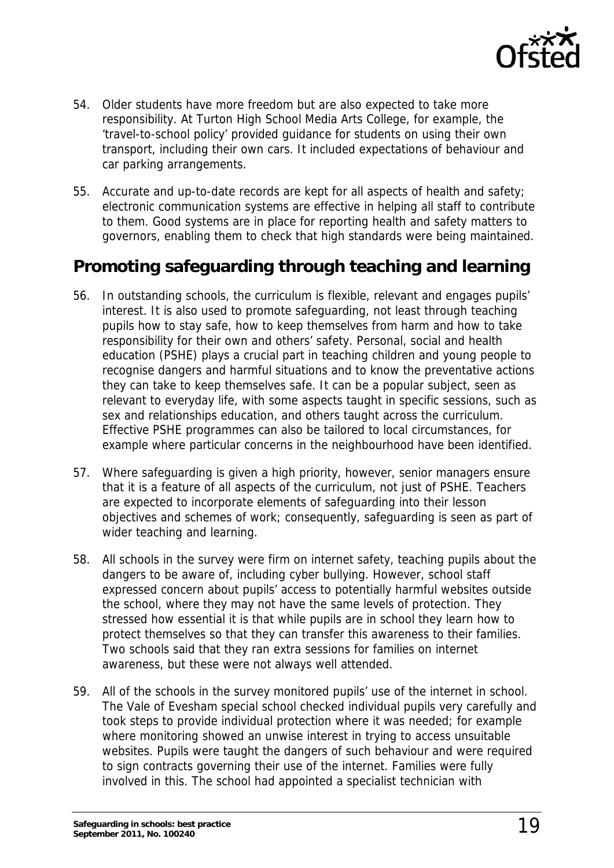

- 54. Older students have more freedom but are also expected to take more responsibility. At Turton High School Media Arts College, for example, the 'travel-to-school policy' provided guidance for students on using their own transport, including their own cars. It included expectations of behaviour and car parking arrangements.
- 55. Accurate and up-to-date records are kept for all aspects of health and safety; electronic communication systems are effective in helping all staff to contribute to them. Good systems are in place for reporting health and safety matters to governors, enabling them to check that high standards were being maintained.

## <span id="page-18-0"></span>**Promoting safeguarding through teaching and learning**

- 56. In outstanding schools, the curriculum is flexible, relevant and engages pupils' interest. It is also used to promote safeguarding, not least through teaching pupils how to stay safe, how to keep themselves from harm and how to take responsibility for their own and others' safety. Personal, social and health education (PSHE) plays a crucial part in teaching children and young people to recognise dangers and harmful situations and to know the preventative actions they can take to keep themselves safe. It can be a popular subject, seen as relevant to everyday life, with some aspects taught in specific sessions, such as sex and relationships education, and others taught across the curriculum. Effective PSHE programmes can also be tailored to local circumstances, for example where particular concerns in the neighbourhood have been identified.
- 57. Where safeguarding is given a high priority, however, senior managers ensure that it is a feature of all aspects of the curriculum, not just of PSHE. Teachers are expected to incorporate elements of safeguarding into their lesson objectives and schemes of work; consequently, safeguarding is seen as part of wider teaching and learning.
- 58. All schools in the survey were firm on internet safety, teaching pupils about the dangers to be aware of, including cyber bullying. However, school staff expressed concern about pupils' access to potentially harmful websites outside the school, where they may not have the same levels of protection. They stressed how essential it is that while pupils are in school they learn how to protect themselves so that they can transfer this awareness to their families. Two schools said that they ran extra sessions for families on internet awareness, but these were not always well attended.
- 59. All of the schools in the survey monitored pupils' use of the internet in school. The Vale of Evesham special school checked individual pupils very carefully and took steps to provide individual protection where it was needed; for example where monitoring showed an unwise interest in trying to access unsuitable websites. Pupils were taught the dangers of such behaviour and were required to sign contracts governing their use of the internet. Families were fully involved in this. The school had appointed a specialist technician with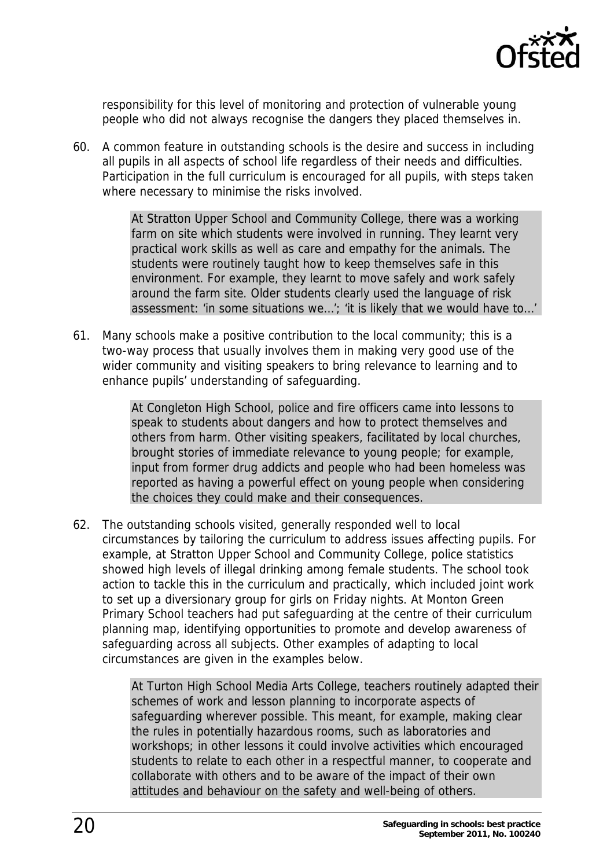

responsibility for this level of monitoring and protection of vulnerable young people who did not always recognise the dangers they placed themselves in.

60. A common feature in outstanding schools is the desire and success in including all pupils in all aspects of school life regardless of their needs and difficulties. Participation in the full curriculum is encouraged for all pupils, with steps taken where necessary to minimise the risks involved.

> At Stratton Upper School and Community College, there was a working farm on site which students were involved in running. They learnt very practical work skills as well as care and empathy for the animals. The students were routinely taught how to keep themselves safe in this environment. For example, they learnt to move safely and work safely around the farm site. Older students clearly used the language of risk assessment: 'in some situations we…'; 'it is likely that we would have to…'

61. Many schools make a positive contribution to the local community; this is a two-way process that usually involves them in making very good use of the wider community and visiting speakers to bring relevance to learning and to enhance pupils' understanding of safeguarding.

> At Congleton High School, police and fire officers came into lessons to speak to students about dangers and how to protect themselves and others from harm. Other visiting speakers, facilitated by local churches, brought stories of immediate relevance to young people; for example, input from former drug addicts and people who had been homeless was reported as having a powerful effect on young people when considering the choices they could make and their consequences.

62. The outstanding schools visited, generally responded well to local circumstances by tailoring the curriculum to address issues affecting pupils. For example, at Stratton Upper School and Community College, police statistics showed high levels of illegal drinking among female students. The school took action to tackle this in the curriculum and practically, which included joint work to set up a diversionary group for girls on Friday nights. At Monton Green Primary School teachers had put safeguarding at the centre of their curriculum planning map, identifying opportunities to promote and develop awareness of safeguarding across all subjects. Other examples of adapting to local circumstances are given in the examples below.

> At Turton High School Media Arts College, teachers routinely adapted their schemes of work and lesson planning to incorporate aspects of safeguarding wherever possible. This meant, for example, making clear the rules in potentially hazardous rooms, such as laboratories and workshops; in other lessons it could involve activities which encouraged students to relate to each other in a respectful manner, to cooperate and collaborate with others and to be aware of the impact of their own attitudes and behaviour on the safety and well-being of others.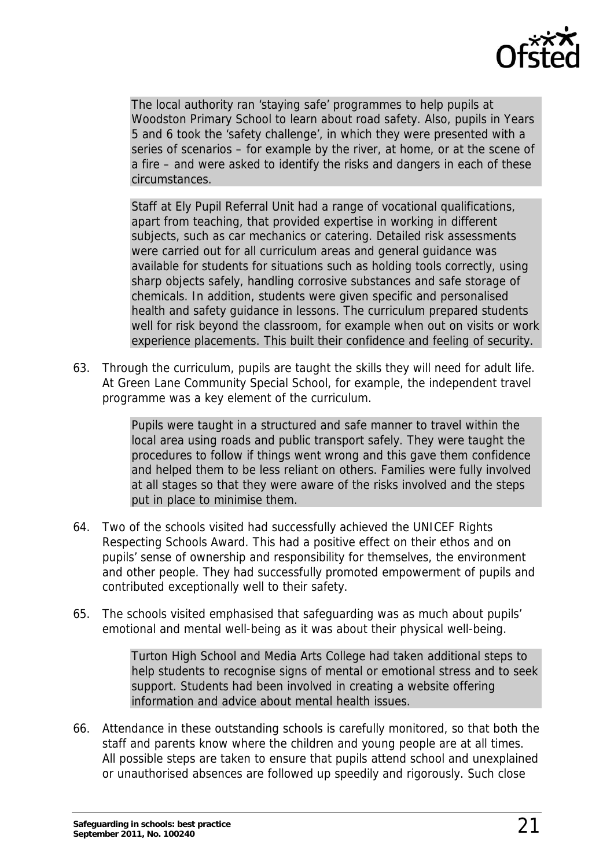

The local authority ran 'staying safe' programmes to help pupils at Woodston Primary School to learn about road safety. Also, pupils in Years 5 and 6 took the 'safety challenge', in which they were presented with a series of scenarios – for example by the river, at home, or at the scene of a fire – and were asked to identify the risks and dangers in each of these circumstances.

Staff at Ely Pupil Referral Unit had a range of vocational qualifications, apart from teaching, that provided expertise in working in different subjects, such as car mechanics or catering. Detailed risk assessments were carried out for all curriculum areas and general guidance was available for students for situations such as holding tools correctly, using sharp objects safely, handling corrosive substances and safe storage of chemicals. In addition, students were given specific and personalised health and safety guidance in lessons. The curriculum prepared students well for risk beyond the classroom, for example when out on visits or work experience placements. This built their confidence and feeling of security.

63. Through the curriculum, pupils are taught the skills they will need for adult life. At Green Lane Community Special School, for example, the independent travel programme was a key element of the curriculum.

> Pupils were taught in a structured and safe manner to travel within the local area using roads and public transport safely. They were taught the procedures to follow if things went wrong and this gave them confidence and helped them to be less reliant on others. Families were fully involved at all stages so that they were aware of the risks involved and the steps put in place to minimise them.

- 64. Two of the schools visited had successfully achieved the UNICEF Rights Respecting Schools Award. This had a positive effect on their ethos and on pupils' sense of ownership and responsibility for themselves, the environment and other people. They had successfully promoted empowerment of pupils and contributed exceptionally well to their safety.
- 65. The schools visited emphasised that safeguarding was as much about pupils' emotional and mental well-being as it was about their physical well-being.

Turton High School and Media Arts College had taken additional steps to help students to recognise signs of mental or emotional stress and to seek support. Students had been involved in creating a website offering information and advice about mental health issues.

66. Attendance in these outstanding schools is carefully monitored, so that both the staff and parents know where the children and young people are at all times. All possible steps are taken to ensure that pupils attend school and unexplained or unauthorised absences are followed up speedily and rigorously. Such close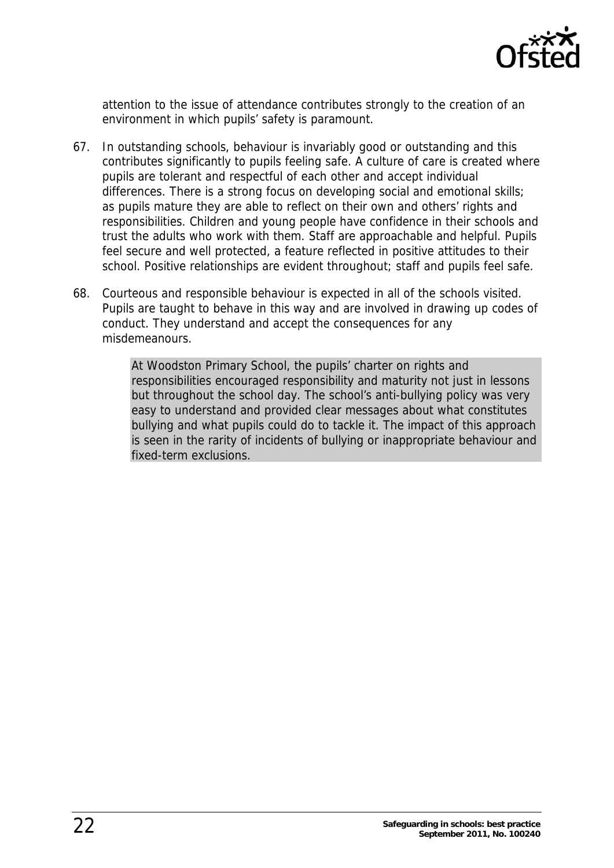

attention to the issue of attendance contributes strongly to the creation of an environment in which pupils' safety is paramount.

- 67. In outstanding schools, behaviour is invariably good or outstanding and this contributes significantly to pupils feeling safe. A culture of care is created where pupils are tolerant and respectful of each other and accept individual differences. There is a strong focus on developing social and emotional skills; as pupils mature they are able to reflect on their own and others' rights and responsibilities. Children and young people have confidence in their schools and trust the adults who work with them. Staff are approachable and helpful. Pupils feel secure and well protected, a feature reflected in positive attitudes to their school. Positive relationships are evident throughout; staff and pupils feel safe.
- 68. Courteous and responsible behaviour is expected in all of the schools visited. Pupils are taught to behave in this way and are involved in drawing up codes of conduct. They understand and accept the consequences for any misdemeanours.

At Woodston Primary School, the pupils' charter on rights and responsibilities encouraged responsibility and maturity not just in lessons but throughout the school day. The school's anti-bullying policy was very easy to understand and provided clear messages about what constitutes bullying and what pupils could do to tackle it. The impact of this approach is seen in the rarity of incidents of bullying or inappropriate behaviour and fixed-term exclusions.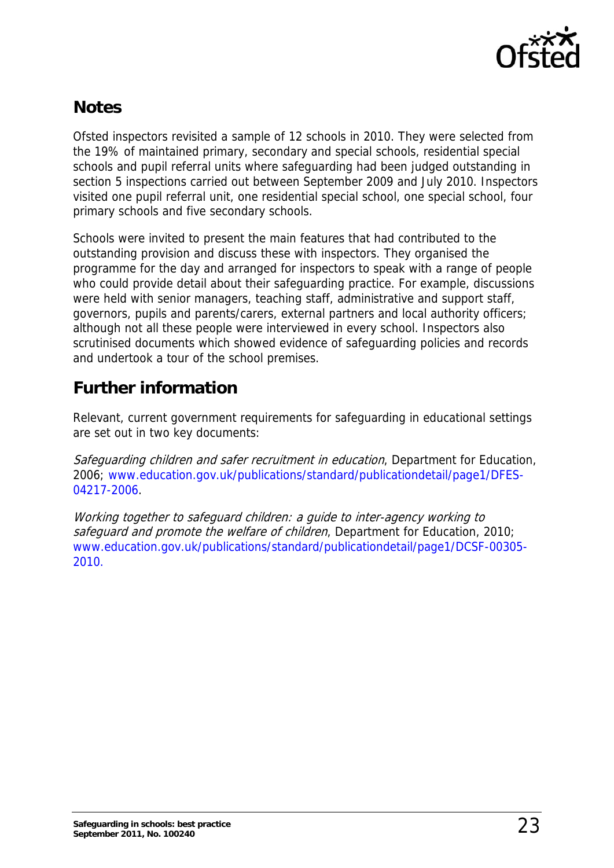

# <span id="page-22-0"></span>**Notes**

Ofsted inspectors revisited a sample of 12 schools in 2010. They were selected from the 19% of maintained primary, secondary and special schools, residential special schools and pupil referral units where safeguarding had been judged outstanding in section 5 inspections carried out between September 2009 and July 2010. Inspectors visited one pupil referral unit, one residential special school, one special school, four primary schools and five secondary schools.

Schools were invited to present the main features that had contributed to the outstanding provision and discuss these with inspectors. They organised the programme for the day and arranged for inspectors to speak with a range of people who could provide detail about their safeguarding practice. For example, discussions were held with senior managers, teaching staff, administrative and support staff, governors, pupils and parents/carers, external partners and local authority officers; although not all these people were interviewed in every school. Inspectors also scrutinised documents which showed evidence of safeguarding policies and records and undertook a tour of the school premises.

# <span id="page-22-1"></span>**Further information**

Relevant, current government requirements for safeguarding in educational settings are set out in two key documents:

Safeguarding children and safer recruitment in education, Department for Education, 2006; [www.education.gov.uk/publications/standard/publicationdetail/page1/DFES-](http://www.education.gov.uk/publications/standard/publicationdetail/page1/DFES-04217-2006)[04217-2006](http://www.education.gov.uk/publications/standard/publicationdetail/page1/DFES-04217-2006).

Working together to safeguard children: a guide to inter-agency working to safeguard and promote the welfare of children, Department for Education, 2010; [www.education.gov.uk/publications/standard/publicationdetail/page1/DCSF-00305-](http://www.education.gov.uk/publications/standard/publicationdetail/page1/DCSF-00305-2010) [2010.](http://www.education.gov.uk/publications/standard/publicationdetail/page1/DCSF-00305-2010)